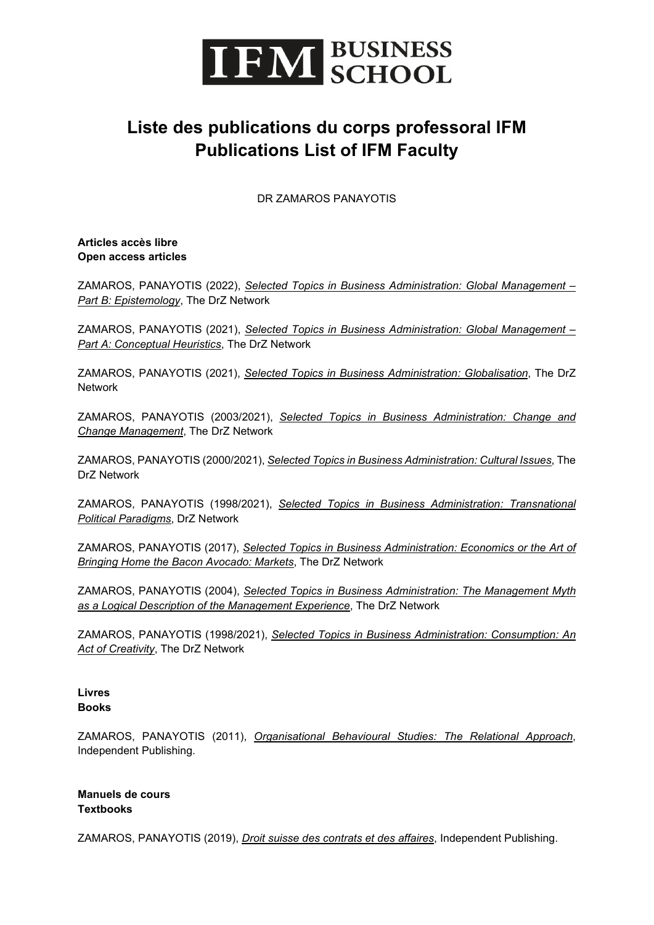

## **Liste des publications du corps professoral IFM Publications List of IFM Faculty**

DR ZAMAROS PANAYOTIS

**Articles accès libre Open access articles**

ZAMAROS, PANAYOTIS (2022), *[Selected Topics in Business Administration: Global Management –](https://zamaros.net/Global%20Management%20-%20part%20B%20epistemology.pdf) [Part B: Epistemology](https://zamaros.net/Global%20Management%20-%20part%20B%20epistemology.pdf)*, The DrZ Network

ZAMAROS, PANAYOTIS (2021), *[Selected Topics in Business Administration: Global Management –](https://zamaros.net/Global%20Management%20-%20part%20A.pdf) [Part A: Conceptual Heuristics](https://zamaros.net/Global%20Management%20-%20part%20A.pdf)*, The DrZ Network

ZAMAROS, PANAYOTIS (2021), *[Selected Topics in Business Administration: Globalisation](https://zamaros.net/GLOBALISATION.pdf)*, The DrZ Network

ZAMAROS, PANAYOTIS (2003/2021), *[Selected Topics in Business Administration: Change and](https://zamaros.net/CHANGE%20AND%20CHANGE%20MANAGEMENT.pdf)  [Change Management](https://zamaros.net/CHANGE%20AND%20CHANGE%20MANAGEMENT.pdf)*, The DrZ Network

ZAMAROS, PANAYOTIS (2000/2021), *[Selected Topics in Business Administration: Cultural Issues](https://zamaros.net/CULTURAL%20ISSUES.pdf)*, The DrZ Network

ZAMAROS, PANAYOTIS (1998/2021), *[Selected Topics in Business Administration: Transnational](https://zamaros.net/PARADIGMS.pdf)  [Political Paradigms](https://zamaros.net/PARADIGMS.pdf)*, DrZ Network

ZAMAROS, PANAYOTIS (2017), *[Selected Topics in Business Administration: Economics or the Art of](https://zamaros.net/Economics%20or%20the%20Art%20-%20Markets.pdf)  [Bringing Home the Bacon Avocado: Markets](https://zamaros.net/Economics%20or%20the%20Art%20-%20Markets.pdf)*, The DrZ Network

ZAMAROS, PANAYOTIS (2004), *[Selected Topics in Business Administration: The Management Myth](https://zamaros.net/MYTHS%20LOGICAL%20DESCRIPTIONS.pdf)  [as a Logical Description of the Management Experience](https://zamaros.net/MYTHS%20LOGICAL%20DESCRIPTIONS.pdf)*, The DrZ Network

ZAMAROS, PANAYOTIS (1998/2021), *[Selected Topics in Business Administration: Consumption: An](https://zamaros.net/Consumption%20be%20seen%20as%20an%20act%20of%20creativity.pdf)  [Act of Creativity](https://zamaros.net/Consumption%20be%20seen%20as%20an%20act%20of%20creativity.pdf)*, The DrZ Network

## **Livres Books**

ZAMAROS, PANAYOTIS (2011), *[Organisational Behavioural Studies: The Relational Approach](https://www.amazon.com/Organizational-Behavioral-Studies-Relational-Approach/dp/1479173525)*, Independent Publishing.

## **Manuels de cours Textbooks**

ZAMAROS, PANAYOTIS (2019), *[Droit suisse des contrats et des affaires](https://www.amazon.com/Droit-suisse-contrats-affaires-Textes/dp/179334275X)*, Independent Publishing.